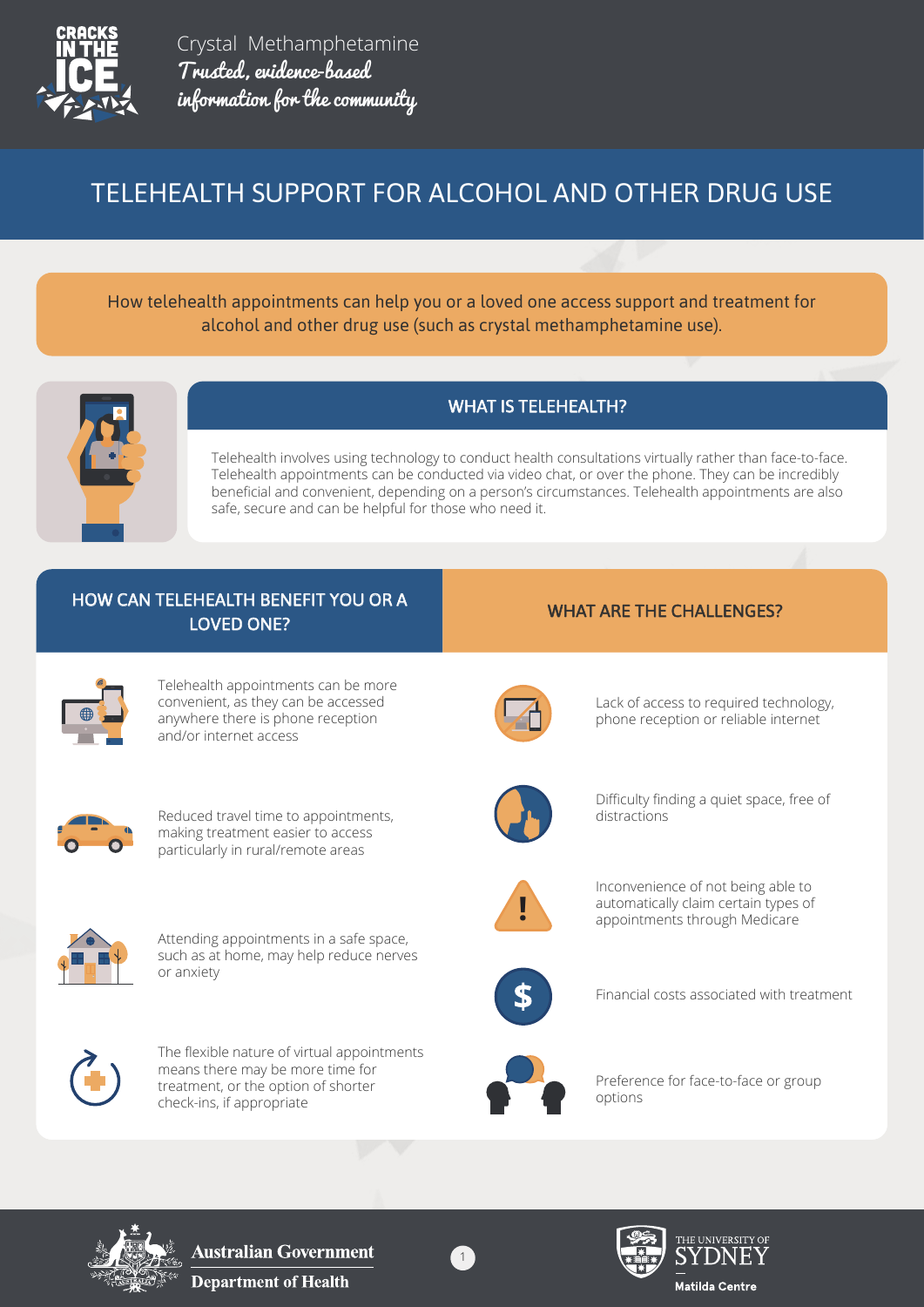

Crystal Methamphetamine Trusted, evidence-based information for the community

# TELEHEALTH SUPPORT FOR ALCOHOL AND OTHER DRUG USE

How telehealth appointments can help you or a loved one access support and treatment for alcohol and other drug use (such as crystal methamphetamine use).



# WHAT IS TELEHEALTH?

Telehealth involves using technology to conduct health consultations virtually rather than face-to-face. Telehealth appointments can be conducted via video chat, or over the phone. They can be incredibly beneficial and convenient, depending on a person's circumstances. Telehealth appointments are also safe, secure and can be helpful for those who need it.

### HOW CAN TELEHEALTH BENEFIT YOU OR A TELEMIC WHAT ARE THE CHALLENGES? LOVED ONE?

Telehealth appointments can be more convenient, as they can be accessed anywhere there is phone reception and/or internet access



Reduced travel time to appointments, making treatment easier to access particularly in rural/remote areas



Attending appointments in a safe space, such as at home, may help reduce nerves or anxiety



The flexible nature of virtual appointments means there may be more time for treatment, or the option of shorter check-ins, if appropriate



Lack of access to required technology, phone reception or reliable internet



Difficulty finding a quiet space, free of distractions



Inconvenience of not being able to automatically claim certain types of appointments through Medicare



Financial costs associated with treatment



Preference for face-to-face or group options



**Australian Government Department of Health** 



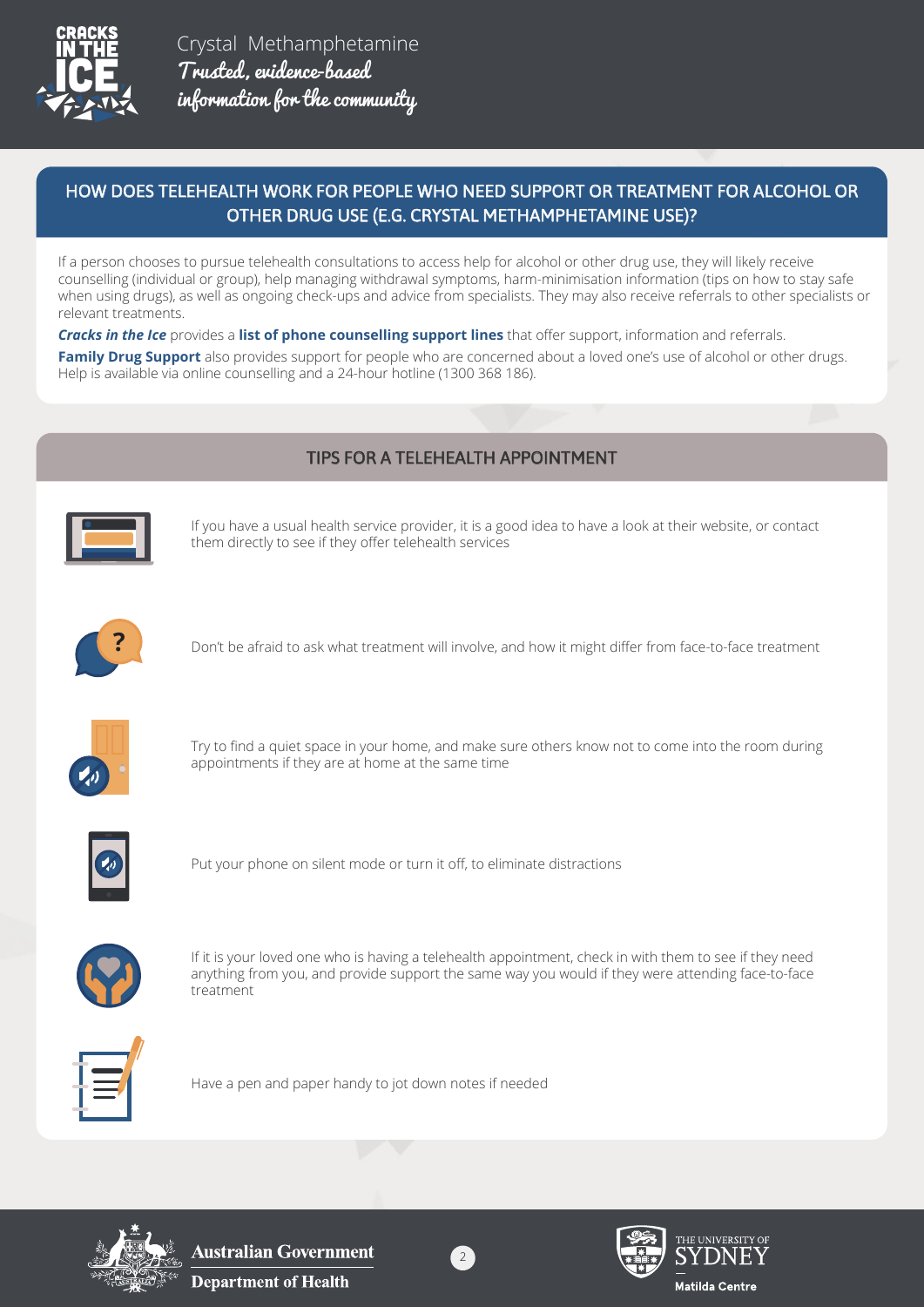

Crystal Methamphetamine Trusted, evidence-based information for the community

### HOW DOES TELEHEALTH WORK FOR PEOPLE WHO NEED SUPPORT OR TREATMENT FOR ALCOHOL OR OTHER DRUG USE (E.G. CRYSTAL METHAMPHETAMINE USE)?

If a person chooses to pursue telehealth consultations to access help for alcohol or other drug use, they will likely receive counselling (individual or group), help managing withdrawal symptoms, harm-minimisation information (tips on how to stay safe when using drugs), as well as ongoing check-ups and advice from specialists. They may also receive referrals to other specialists or relevant treatments.

*[Cracks in the Ice](https://cracksintheice.org.au/)* provides a **list of phone counselling support lines** that offer support, information and referrals.

**Family Drug Support** also provides support for people who are concerned about a loved one's use of alcohol or other drugs. Help is available via online counselling and a 24-hour hotline (1300 368 186).

# TIPS FOR A TELEHEALTH APPOINTMENT



If you have a usual health service provider, it is a good idea to have a look at their website, or contact them directly to see if they offer telehealth services



**?** Don't be afraid to ask what treatment will involve, and how it might differ from face-to-face treatment



Try to find a quiet space in your home, and make sure others know not to come into the room during appointments if they are at home at the same time



Put your phone on silent mode or turn it off, to eliminate distractions



If it is your loved one who is having a telehealth appointment, check in with them to see if they need anything from you, and provide support the same way you would if they were attending face-to-face treatment



Have a pen and paper handy to jot down notes if needed



**Australian Government Department of Health**